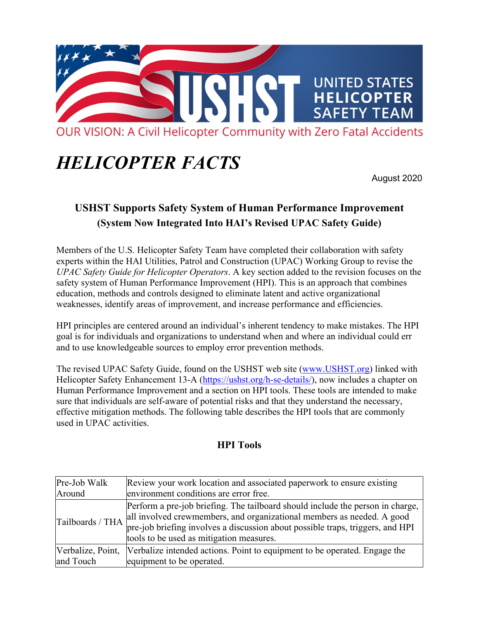

## *HELICOPTER FACTS*

August 2020

## **USHST Supports Safety System of Human Performance Improvement (System Now Integrated Into HAI's Revised UPAC Safety Guide)**

Members of the U.S. Helicopter Safety Team have completed their collaboration with safety experts within the HAI Utilities, Patrol and Construction (UPAC) Working Group to revise the *UPAC Safety Guide for Helicopter Operators*. A key section added to the revision focuses on the safety system of Human Performance Improvement (HPI). This is an approach that combines education, methods and controls designed to eliminate latent and active organizational weaknesses, identify areas of improvement, and increase performance and efficiencies.

HPI principles are centered around an individual's inherent tendency to make mistakes. The HPI goal is for individuals and organizations to understand when and where an individual could err and to use knowledgeable sources to employ error prevention methods.

The revised UPAC Safety Guide, found on the USHST web site (www.USHST.org) linked with Helicopter Safety Enhancement 13-A (https://ushst.org/h-se-details/), now includes a chapter on Human Performance Improvement and a section on HPI tools. These tools are intended to make sure that individuals are self-aware of potential risks and that they understand the necessary, effective mitigation methods. The following table describes the HPI tools that are commonly used in UPAC activities.

## **HPI Tools**

| Pre-Job Walk     | Review your work location and associated paperwork to ensure existing                                                                                                                                                                                                                  |
|------------------|----------------------------------------------------------------------------------------------------------------------------------------------------------------------------------------------------------------------------------------------------------------------------------------|
| Around           | environment conditions are error free.                                                                                                                                                                                                                                                 |
| Tailboards / THA | Perform a pre-job briefing. The tailboard should include the person in charge,<br>all involved crewmembers, and organizational members as needed. A good<br>pre-job briefing involves a discussion about possible traps, triggers, and HPI<br>tools to be used as mitigation measures. |
|                  | [Verbalize, Point,  Verbalize intended actions. Point to equipment to be operated. Engage the                                                                                                                                                                                          |
| and Touch        | equipment to be operated.                                                                                                                                                                                                                                                              |